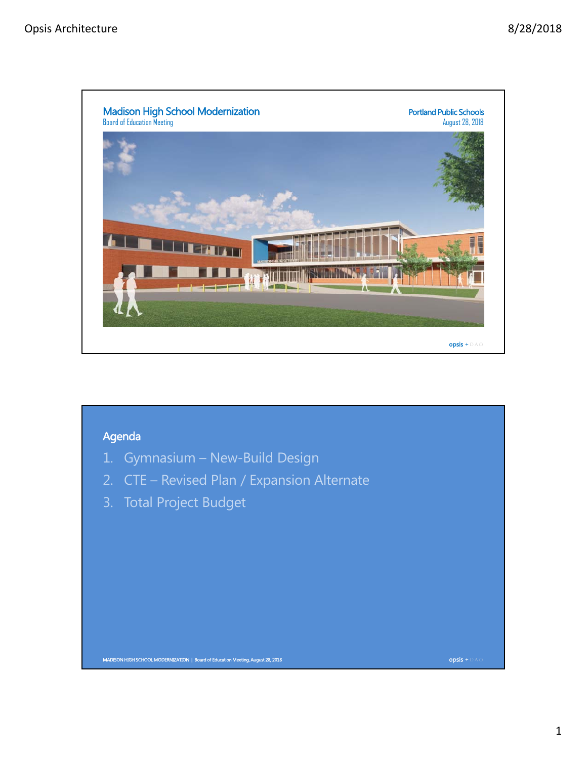

## MADISON HIGH SCHOOL MODERNIZATION | Board of Education Meeting, August 28, 2018 opsis + D A O 1. Gymnasium – New-Build Design 2. CTE – Revised Plan / Expansion Alternate 3. Total Project Budget Agenda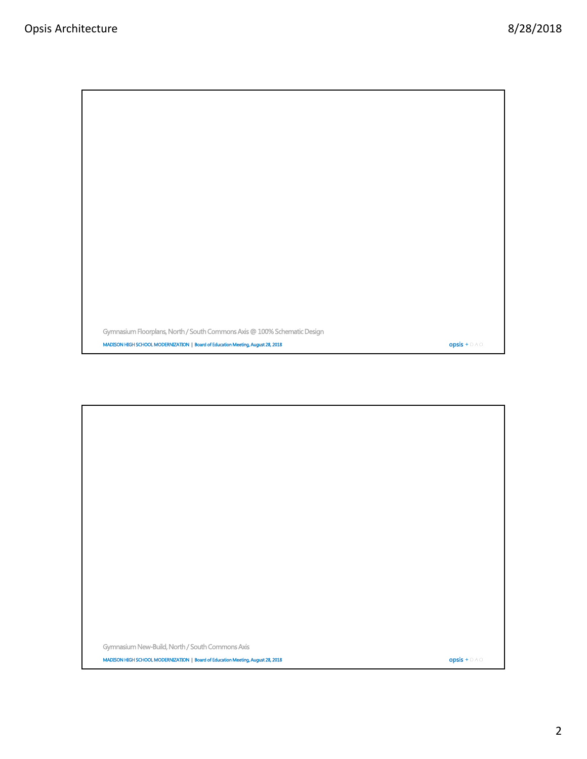MADISON HIGH SCHOOL MODERNIZATION | Board of Education Meeting, August 28, 2018 **oppinited and Containers + D A O** Opsis + D A O Gymnasium Floorplans, North / South Commons Axis @ 100% Schematic Design

MADISON HIGH SCHOOL MODERNIZATION | Board of Education Meeting, August 28, 2018  $\bullet$  Opsis + D A O Gymnasium New-Build, North / South Commons Axis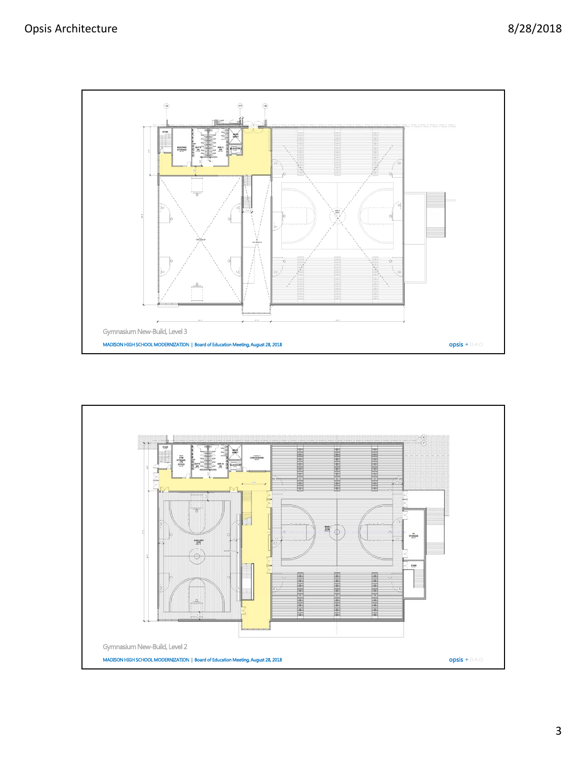

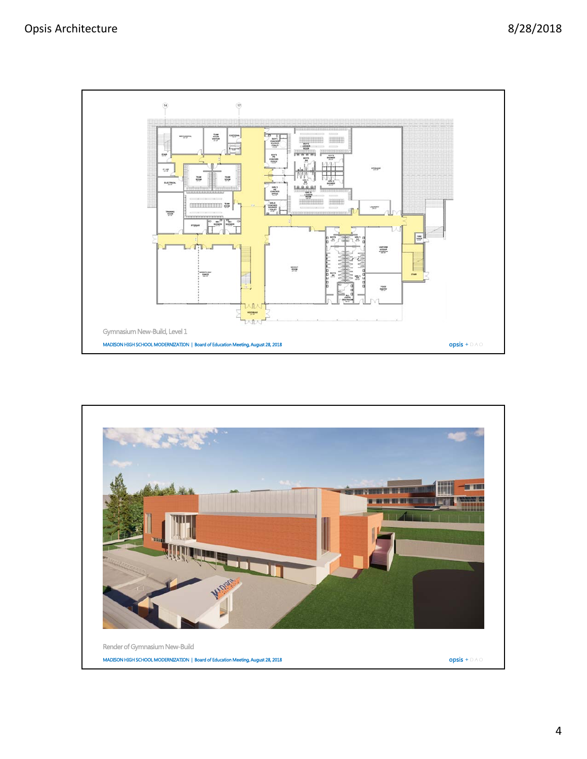

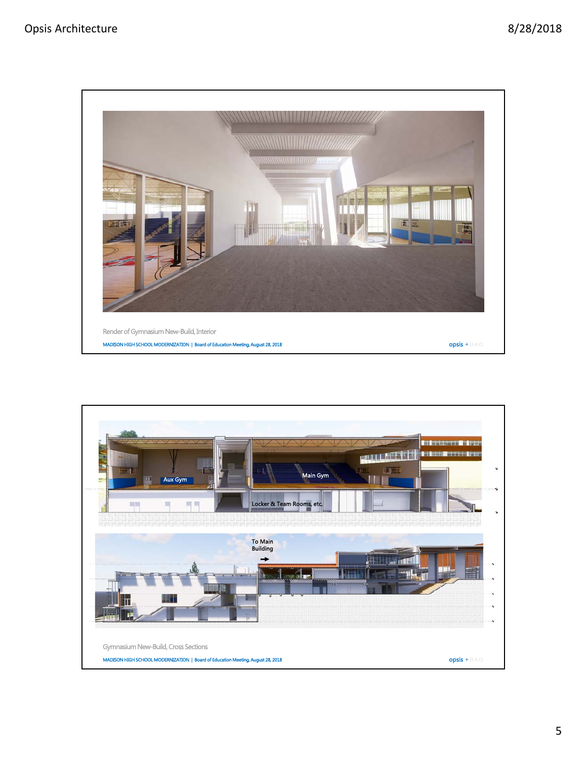

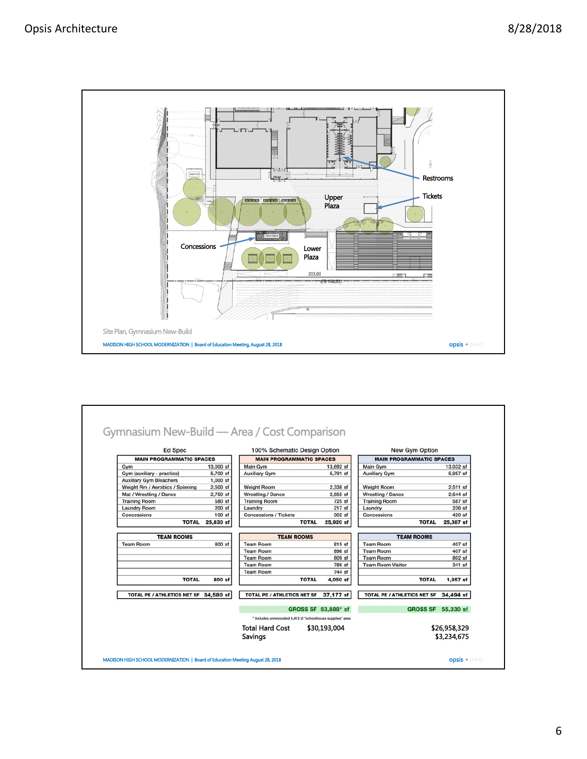

| <b>Ed Spec</b>                         |                                 | 100% Schematic Design Option                                |                                 | <b>New Gym Option</b>       |                                 |  |
|----------------------------------------|---------------------------------|-------------------------------------------------------------|---------------------------------|-----------------------------|---------------------------------|--|
|                                        | <b>MAIN PROGRAMMATIC SPACES</b> |                                                             | <b>MAIN PROGRAMMATIC SPACES</b> |                             | <b>MAIN PROGRAMMATIC SPACES</b> |  |
| Gym                                    | 13,000 sf                       | Main Gym                                                    | 13,692 sf                       | Main Gym                    | 13,032 sf                       |  |
| Gym (auxiliary - practice)             | 5,700 sf                        | <b>Auxiliary Gym</b>                                        | 5,791 sf                        | <b>Auxiliary Gym</b>        | 5,957 sf                        |  |
| <b>Auxiliary Gym Bleachers</b>         | $1.000$ sf                      |                                                             |                                 |                             |                                 |  |
| Weight Rm / Aerobics / Spinning        | $2,500$ sf                      | <b>Weight Room</b>                                          | 2,338 sf                        | <b>Weight Room</b>          | $2.511$ sf                      |  |
| Mat / Wrestling / Dance                | 2,750 sf                        | Wrestling / Dance                                           | $2,855$ sf                      | Wrestling / Dance           | $2,644$ sf                      |  |
| <b>Training Room</b>                   | 580 sf                          | <b>Training Room</b>                                        | 725 sf                          | <b>Training Room</b>        | 587 sf                          |  |
| <b>Laundry Room</b>                    | 200 sf                          | Laundry                                                     | 217 sf                          | Laundry                     | 236 sf                          |  |
| Concessions                            | $100$ sf                        | <b>Concessions / Tickets</b>                                | $302$ sf                        | Concessions                 | 420 sf                          |  |
| <b>TOTAL</b>                           | 25,830 sf                       | <b>TOTAL</b>                                                | 25,920 sf                       | <b>TOTAL</b>                | 25,387 sf                       |  |
| <b>TEAM ROOMS</b>                      |                                 | <b>TEAM ROOMS</b>                                           |                                 | <b>TEAM ROOMS</b>           |                                 |  |
| <b>Team Room</b>                       | 800 sf                          | <b>Team Room</b>                                            | 815 sf                          | <b>Team Room</b>            | 407 sf                          |  |
|                                        |                                 | <b>Team Room</b>                                            | 896 sf                          | <b>Team Room</b>            | 407 sf                          |  |
|                                        |                                 | <b>Team Room</b>                                            | 809 sf                          | <b>Team Room</b>            | 802 sf                          |  |
|                                        |                                 | <b>Team Room</b>                                            | 786 sf                          | <b>Team Room Visitor</b>    | 341 sf                          |  |
|                                        |                                 | <b>Team Room</b>                                            | 744 sf                          |                             |                                 |  |
| <b>TOTAL</b>                           | 800 sf                          | <b>TOTAL</b>                                                | 4,050 sf                        | <b>TOTAL</b>                | $1,957$ sf                      |  |
| TOTAL PE / ATHLETICS NET SF 34,580 sf  |                                 | TOTAL PE / ATHLETICS NET SF                                 | 37,177 sf                       | TOTAL PE / ATHLETICS NET SF | 34,494 sf                       |  |
|                                        |                                 |                                                             | GROSS SF 63,888* sf             |                             | GROSS SF 55,330 sf              |  |
|                                        |                                 | * Includes unrenovated 4,412 sf "schoolhouse supplies" area |                                 |                             |                                 |  |
| <b>Total Hard Cost</b><br>\$30,193,004 |                                 |                                                             | \$26,958,329                    |                             |                                 |  |
|                                        |                                 | Savings                                                     |                                 | \$3.234.675                 |                                 |  |